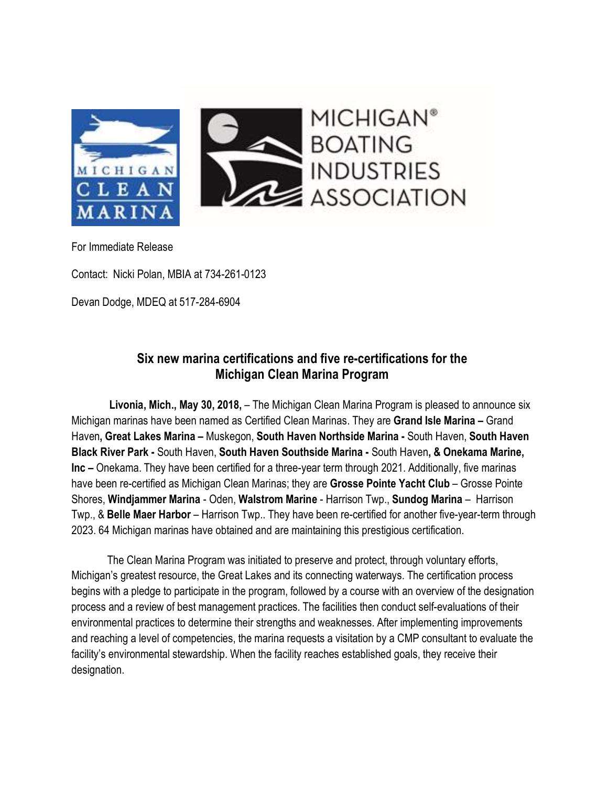

For Immediate Release

Contact: Nicki Polan, MBIA at 734-261-0123

Devan Dodge, MDEQ at 517-284-6904

## **Six new marina certifications and five re-certifications for the Michigan Clean Marina Program**

 **Livonia, Mich., May 30, 2018,** – The Michigan Clean Marina Program is pleased to announce six Michigan marinas have been named as Certified Clean Marinas. They are **Grand Isle Marina –** Grand Haven**, Great Lakes Marina –** Muskegon, **South Haven Northside Marina -** South Haven, **South Haven Black River Park -** South Haven, **South Haven Southside Marina -** South Haven**, & Onekama Marine, Inc –** Onekama. They have been certified for a three-year term through 2021. Additionally, five marinas have been re-certified as Michigan Clean Marinas; they are **Grosse Pointe Yacht Club** – Grosse Pointe Shores, **Windjammer Marina** - Oden, **Walstrom Marine** - Harrison Twp., **Sundog Marina** – Harrison Twp., & **Belle Maer Harbor** – Harrison Twp.. They have been re-certified for another five-year-term through 2023. 64 Michigan marinas have obtained and are maintaining this prestigious certification.

The Clean Marina Program was initiated to preserve and protect, through voluntary efforts, Michigan's greatest resource, the Great Lakes and its connecting waterways. The certification process begins with a pledge to participate in the program, followed by a course with an overview of the designation process and a review of best management practices. The facilities then conduct self-evaluations of their environmental practices to determine their strengths and weaknesses. After implementing improvements and reaching a level of competencies, the marina requests a visitation by a CMP consultant to evaluate the facility's environmental stewardship. When the facility reaches established goals, they receive their designation.